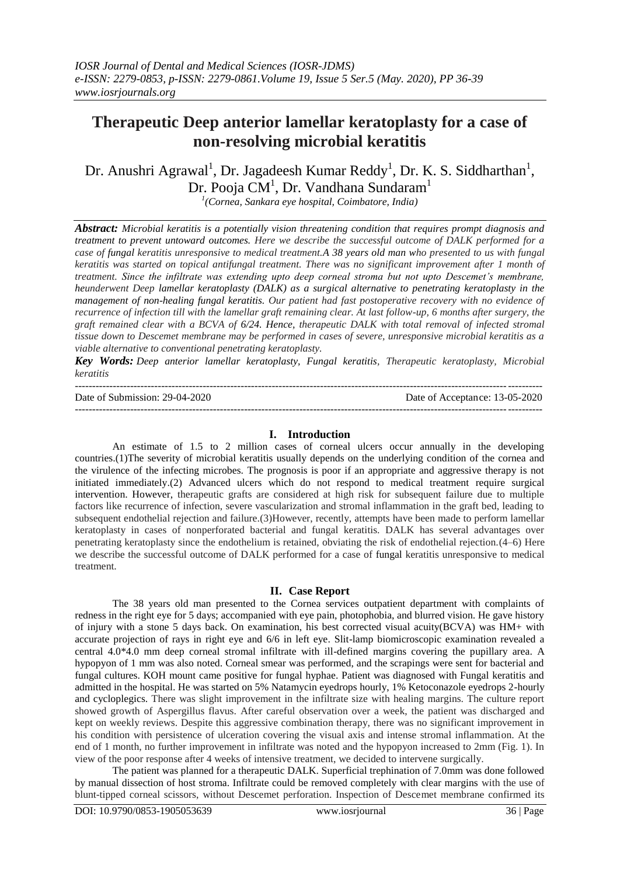# **Therapeutic Deep anterior lamellar keratoplasty for a case of non-resolving microbial keratitis**

Dr. Anushri Agrawal<sup>1</sup>, Dr. Jagadeesh Kumar Reddy<sup>1</sup>, Dr. K. S. Siddharthan<sup>1</sup>, Dr. Pooja CM<sup>1</sup>, Dr. Vandhana Sundaram<sup>1</sup>

*1 (Cornea, Sankara eye hospital, Coimbatore, India)* 

*Abstract: Microbial keratitis is a potentially vision threatening condition that requires prompt diagnosis and treatment to prevent untoward outcomes. Here we describe the successful outcome of DALK performed for a case of fungal keratitis unresponsive to medical treatment.A 38 years old man who presented to us with fungal keratitis was started on topical antifungal treatment. There was no significant improvement after 1 month of treatment. Since the infiltrate was extending upto deep corneal stroma but not upto Descemet's membrane, heunderwent Deep lamellar keratoplasty (DALK) as a surgical alternative to penetrating keratoplasty in the management of non-healing fungal keratitis. Our patient had fast postoperative recovery with no evidence of recurrence of infection till with the lamellar graft remaining clear. At last follow-up, 6 months after surgery, the graft remained clear with a BCVA of 6/24. Hence, therapeutic DALK with total removal of infected stromal tissue down to Descemet membrane may be performed in cases of severe, unresponsive microbial keratitis as a viable alternative to conventional penetrating keratoplasty.*

*Key Words: Deep anterior lamellar keratoplasty, Fungal keratitis, Therapeutic keratoplasty, Microbial keratitis* 

| Date of Submission: 29-04-2020 | Date of Acceptance: 13-05-2020 |
|--------------------------------|--------------------------------|
|                                |                                |

### **I. Introduction**

An estimate of 1.5 to 2 million cases of corneal ulcers occur annually in the developing countries.(1)The severity of microbial keratitis usually depends on the underlying condition of the cornea and the virulence of the infecting microbes. The prognosis is poor if an appropriate and aggressive therapy is not initiated immediately.(2) Advanced ulcers which do not respond to medical treatment require surgical intervention. However, therapeutic grafts are considered at high risk for subsequent failure due to multiple factors like recurrence of infection, severe vascularization and stromal inflammation in the graft bed, leading to subsequent endothelial rejection and failure.(3)However, recently, attempts have been made to perform lamellar keratoplasty in cases of nonperforated bacterial and fungal keratitis. DALK has several advantages over penetrating keratoplasty since the endothelium is retained, obviating the risk of endothelial rejection.(4–6) Here we describe the successful outcome of DALK performed for a case of fungal keratitis unresponsive to medical treatment.

# **II. Case Report**

The 38 years old man presented to the Cornea services outpatient department with complaints of redness in the right eye for 5 days; accompanied with eye pain, photophobia, and blurred vision. He gave history of injury with a stone 5 days back. On examination, his best corrected visual acuity(BCVA) was HM+ with accurate projection of rays in right eye and 6/6 in left eye. Slit-lamp biomicroscopic examination revealed a central 4.0\*4.0 mm deep corneal stromal infiltrate with ill-defined margins covering the pupillary area. A hypopyon of 1 mm was also noted. Corneal smear was performed, and the scrapings were sent for bacterial and fungal cultures. KOH mount came positive for fungal hyphae. Patient was diagnosed with Fungal keratitis and admitted in the hospital. He was started on 5% Natamycin eyedrops hourly, 1% Ketoconazole eyedrops 2-hourly and cycloplegics. There was slight improvement in the infiltrate size with healing margins. The culture report showed growth of Aspergillus flavus. After careful observation over a week, the patient was discharged and kept on weekly reviews. Despite this aggressive combination therapy, there was no significant improvement in his condition with persistence of ulceration covering the visual axis and intense stromal inflammation. At the end of 1 month, no further improvement in infiltrate was noted and the hypopyon increased to 2mm (Fig. 1). In view of the poor response after 4 weeks of intensive treatment, we decided to intervene surgically.

The patient was planned for a therapeutic DALK. Superficial trephination of 7.0mm was done followed by manual dissection of host stroma. Infiltrate could be removed completely with clear margins with the use of blunt-tipped corneal scissors, without Descemet perforation. Inspection of Descemet membrane confirmed its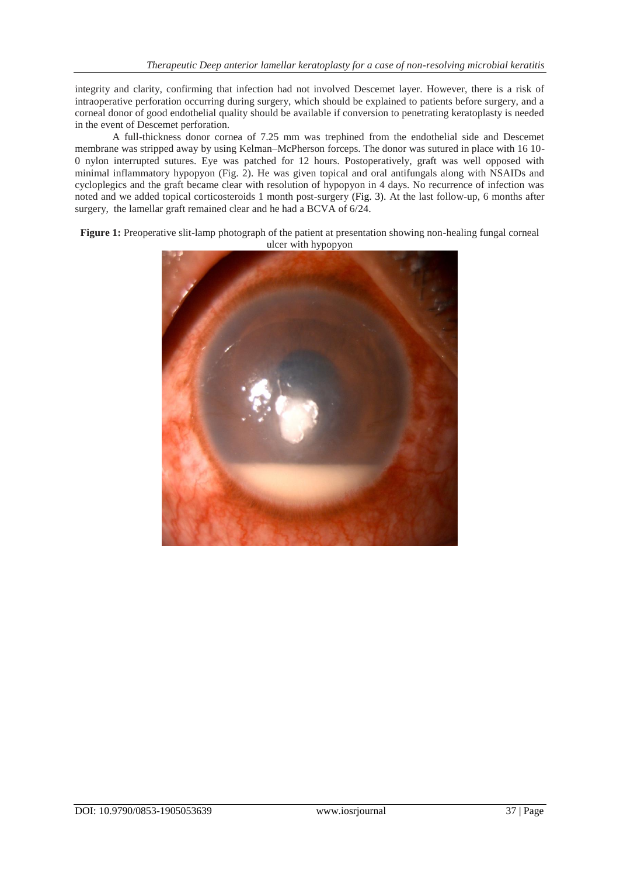integrity and clarity, confirming that infection had not involved Descemet layer. However, there is a risk of intraoperative perforation occurring during surgery, which should be explained to patients before surgery, and a corneal donor of good endothelial quality should be available if conversion to penetrating keratoplasty is needed in the event of Descemet perforation.

A full-thickness donor cornea of 7.25 mm was trephined from the endothelial side and Descemet membrane was stripped away by using Kelman–McPherson forceps. The donor was sutured in place with 16 10- 0 nylon interrupted sutures. Eye was patched for 12 hours. Postoperatively, graft was well opposed with minimal inflammatory hypopyon (Fig. 2). He was given topical and oral antifungals along with NSAIDs and cycloplegics and the graft became clear with resolution of hypopyon in 4 days. No recurrence of infection was noted and we added topical corticosteroids 1 month post-surgery (Fig. 3). At the last follow-up, 6 months after surgery, the lamellar graft remained clear and he had a BCVA of 6/24.

**Figure 1:** Preoperative slit-lamp photograph of the patient at presentation showing non-healing fungal corneal ulcer with hypopyon

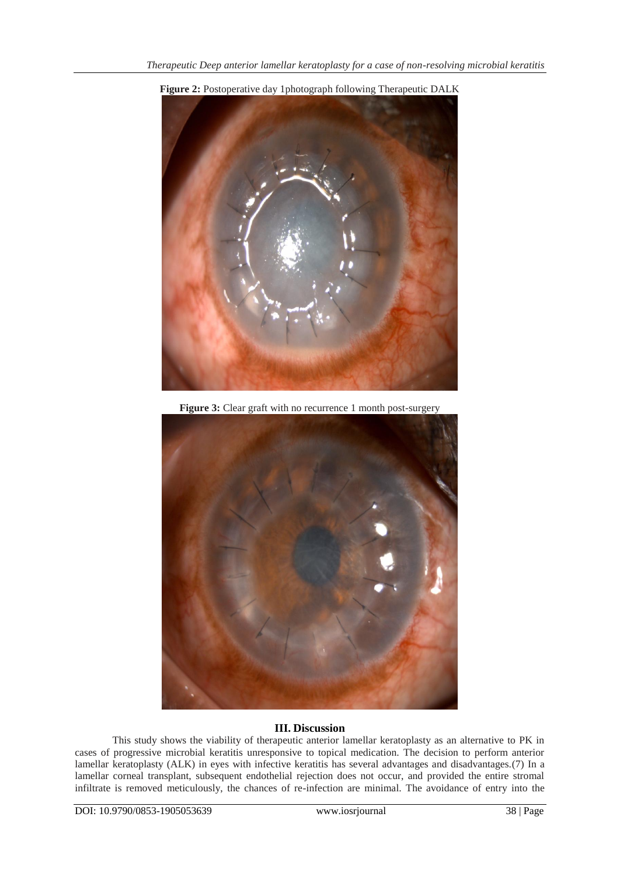

**Figure 2:** Postoperative day 1photograph following Therapeutic DALK

**Figure 3:** Clear graft with no recurrence 1 month post-surgery



# **III. Discussion**

This study shows the viability of therapeutic anterior lamellar keratoplasty as an alternative to PK in cases of progressive microbial keratitis unresponsive to topical medication. The decision to perform anterior lamellar keratoplasty (ALK) in eyes with infective keratitis has several advantages and disadvantages.(7) In a lamellar corneal transplant, subsequent endothelial rejection does not occur, and provided the entire stromal infiltrate is removed meticulously, the chances of re-infection are minimal. The avoidance of entry into the